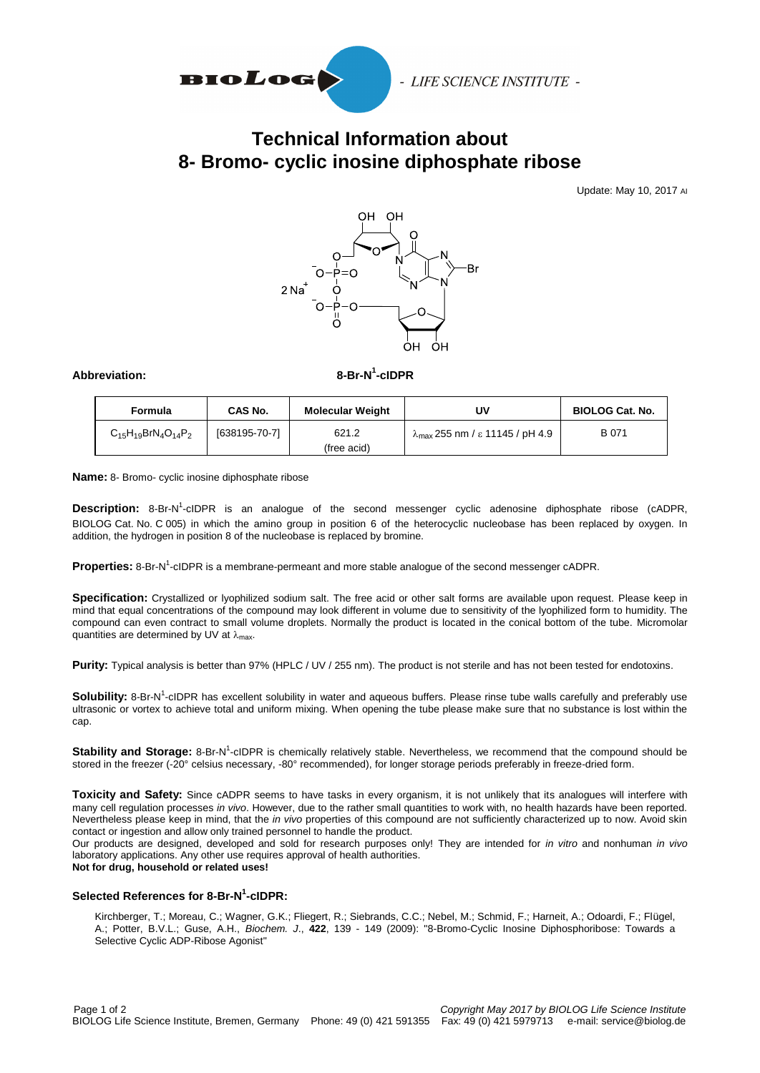

## **Technical Information about 8- Bromo- cyclic inosine diphosphate ribose**

Update: May 10, 2017 AI



## **Abbreviation:**

**1 -cIDPR**

| Formula                      | <b>CAS No.</b> | <b>Molecular Weight</b> | UV                                  | <b>BIOLOG Cat. No.</b> |
|------------------------------|----------------|-------------------------|-------------------------------------|------------------------|
| $C_{15}H_{19}BrN_4O_{14}P_2$ | [638195-70-7]  | 621.2                   | $λ_{max}$ 255 nm / ε 11145 / pH 4.9 | B 071                  |
|                              |                | (free acid)             |                                     |                        |

**Name:** 8- Bromo- cyclic inosine diphosphate ribose

Description: 8-Br-N<sup>1</sup>-cIDPR is an analogue of the second messenger cyclic adenosine diphosphate ribose (cADPR, BIOLOG Cat. No. C 005) in which the amino group in position 6 of the heterocyclic nucleobase has been replaced by oxygen. In addition, the hydrogen in position 8 of the nucleobase is replaced by bromine.

Properties: 8-Br-N<sup>1</sup>-cIDPR is a membrane-permeant and more stable analogue of the second messenger cADPR.

**Specification:** Crystallized or lyophilized sodium salt. The free acid or other salt forms are available upon request. Please keep in mind that equal concentrations of the compound may look different in volume due to sensitivity of the lyophilized form to humidity. The compound can even contract to small volume droplets. Normally the product is located in the conical bottom of the tube. Micromolar quantities are determined by UV at  $\lambda_{\text{max}}$ .

**Purity:** Typical analysis is better than 97% (HPLC / UV / 255 nm). The product is not sterile and has not been tested for endotoxins.

Solubility: 8-Br-N<sup>1</sup>-cIDPR has excellent solubility in water and aqueous buffers. Please rinse tube walls carefully and preferably use ultrasonic or vortex to achieve total and uniform mixing. When opening the tube please make sure that no substance is lost within the cap.

Stability and Storage: 8-Br-N<sup>1</sup>-cIDPR is chemically relatively stable. Nevertheless, we recommend that the compound should be stored in the freezer (-20° celsius necessary, -80° recommended), for longer storage periods preferably in freeze-dried form.

**Toxicity and Safety:** Since cADPR seems to have tasks in every organism, it is not unlikely that its analogues will interfere with many cell regulation processes *in vivo*. However, due to the rather small quantities to work with, no health hazards have been reported. Nevertheless please keep in mind, that the *in vivo* properties of this compound are not sufficiently characterized up to now. Avoid skin contact or ingestion and allow only trained personnel to handle the product.

Our products are designed, developed and sold for research purposes only! They are intended for *in vitro* and nonhuman *in vivo* laboratory applications. Any other use requires approval of health authorities.

**Not for drug, household or related uses!**

## **Selected References for 8-Br-N 1 -cIDPR:**

Kirchberger, T.; Moreau, C.; Wagner, G.K.; Fliegert, R.; Siebrands, C.C.; Nebel, M.; Schmid, F.; Harneit, A.; Odoardi, F.; Flügel, A.; Potter, B.V.L.; Guse, A.H., *Biochem. J*., **422**, 139 - 149 (2009): "8-Bromo-Cyclic Inosine Diphosphoribose: Towards a Selective Cyclic ADP-Ribose Agonist"